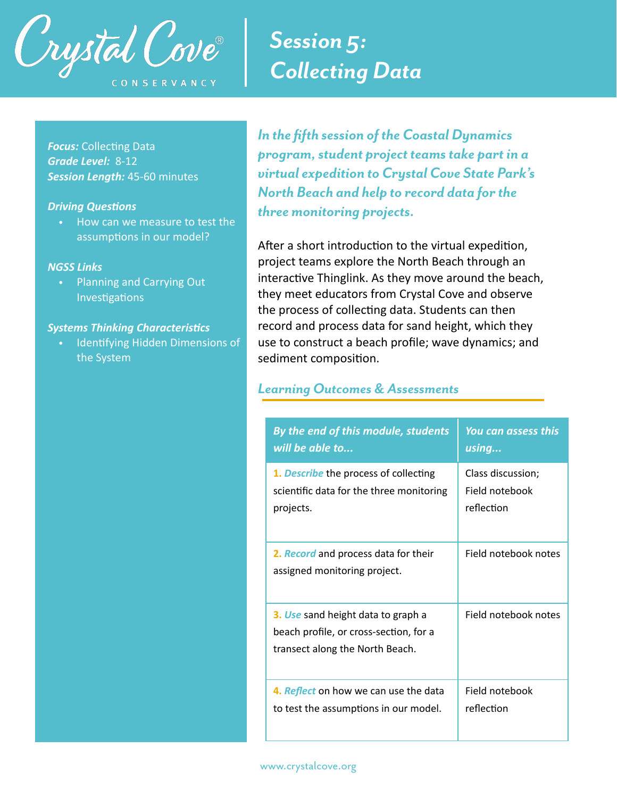

# *Session 5: Collecting Data*

**Focus: Collecting Data** *Grade Level:* 8-12 *Session Length:* 45-60 minutes

#### **Driving Questions**

• How can we measure to test the assumptions in our model?

#### *NGSS Links*

• Planning and Carrying Out Investigations

#### **Systems Thinking Characteristics**

Identifying Hidden Dimensions of the System

*In the fifth session of the Coastal Dynamics program, student project teams take part in a virtual expedition to Crystal Cove State Park's North Beach and help to record data for the three monitoring projects.* 

After a short introduction to the virtual expedition, project teams explore the North Beach through an interactive Thinglink. As they move around the beach, they meet educators from Crystal Cove and observe the process of collecting data. Students can then record and process data for sand height, which they use to construct a beach profile; wave dynamics; and sediment composition.

#### *Learning Outcomes & Assessments*

| By the end of this module, students                                                                             | You can assess this  |
|-----------------------------------------------------------------------------------------------------------------|----------------------|
| will be able to                                                                                                 | using                |
| 1. Describe the process of collecting                                                                           | Class discussion;    |
| scientific data for the three monitoring                                                                        | Field notebook       |
| projects.                                                                                                       | reflection           |
| 2. Record and process data for their<br>assigned monitoring project.                                            | Field notebook notes |
| 3. Use sand height data to graph a<br>beach profile, or cross-section, for a<br>transect along the North Beach. | Field notebook notes |
| 4. Reflect on how we can use the data                                                                           | Field notebook       |
| to test the assumptions in our model.                                                                           | reflection           |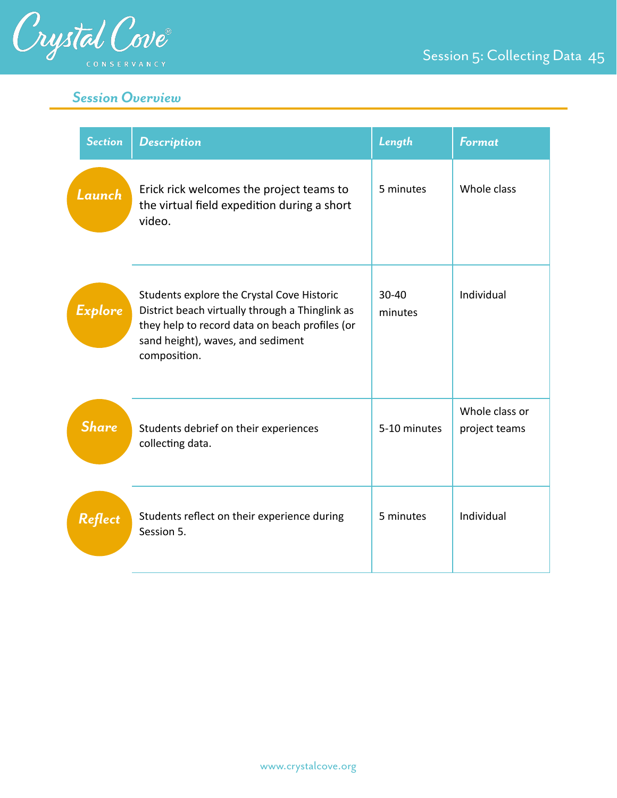

# Session 5: Collecting Data 45

# *Session Overview*

| <b>Section</b> | <b>Description</b>                                                                                                                                                                                   | Length           | <b>Format</b>                   |
|----------------|------------------------------------------------------------------------------------------------------------------------------------------------------------------------------------------------------|------------------|---------------------------------|
| Launch         | Erick rick welcomes the project teams to<br>the virtual field expedition during a short<br>video.                                                                                                    | 5 minutes        | Whole class                     |
| <b>Explore</b> | Students explore the Crystal Cove Historic<br>District beach virtually through a Thinglink as<br>they help to record data on beach profiles (or<br>sand height), waves, and sediment<br>composition. | 30-40<br>minutes | Individual                      |
| <b>Share</b>   | Students debrief on their experiences<br>collecting data.                                                                                                                                            | 5-10 minutes     | Whole class or<br>project teams |
| Reflect        | Students reflect on their experience during<br>Session 5.                                                                                                                                            | 5 minutes        | Individual                      |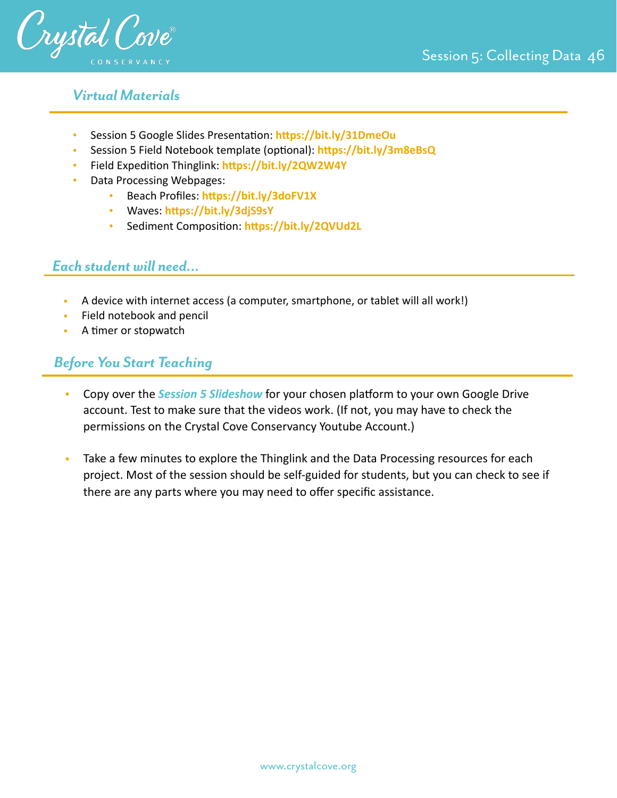

## *Virtual Materials*

- Session 5 Google Slides Presentation: https://bit.ly/31DmeOu
- Session 5 Field Notebook template (optional): https://bit.ly/3m8eBsQ
- Field Expedition Thinglink: https://bit.ly/2QW2W4Y
- Data Processing Webpages:
	- Beach Profiles: https://bit.ly/3doFV1X
	- Waves: https://bit.ly/3djS9sY
	- Sediment Composition: https://bit.ly/2QVUd2L

### *Each student will need…*

- A device with internet access (a computer, smartphone, or tablet will all work!)
- Field notebook and pencil
- A timer or stopwatch

## *Before You Start Teaching*

- Copy over the **Session 5 Slideshow** for your chosen platform to your own Google Drive account. Test to make sure that the videos work. (If not, you may have to check the permissions on the Crystal Cove Conservancy Youtube Account.)
- Take a few minutes to explore the Thinglink and the Data Processing resources for each project. Most of the session should be self-guided for students, but you can check to see if there are any parts where you may need to offer specific assistance.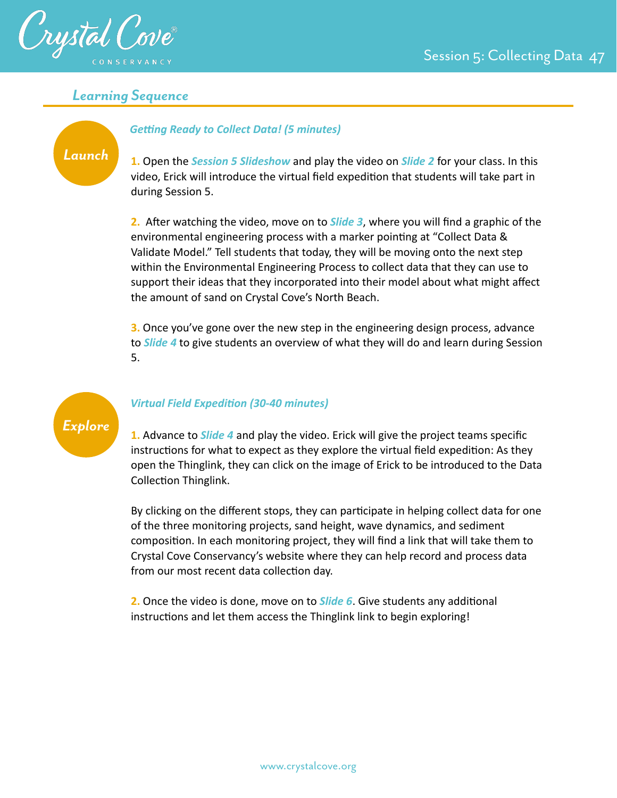

#### *Learning Sequence*

# *Launch*

#### **Getting Ready to Collect Data! (5 minutes)**

**1.** Open the *Session 5 Slideshow* and play the video on *Slide 2* for your class. In this video, Erick will introduce the virtual field expedition that students will take part in during Session 5.

**2.** After watching the video, move on to **Slide 3**, where you will find a graphic of the environmental engineering process with a marker pointing at "Collect Data & Validate Model." Tell students that today, they will be moving onto the next step within the Environmental Engineering Process to collect data that they can use to support their ideas that they incorporated into their model about what might affect the amount of sand on Crystal Cove's North Beach.

**3.** Once you've gone over the new step in the engineering design process, advance to *Slide 4* to give students an overview of what they will do and learn during Session 5.

# *Explore*

#### *Virtual Field ExpediDon (30-40 minutes)*

**1.** Advance to *Slide 4* and play the video. Erick will give the project teams specific instructions for what to expect as they explore the virtual field expedition: As they open the Thinglink, they can click on the image of Erick to be introduced to the Data Collection Thinglink.

By clicking on the different stops, they can participate in helping collect data for one of the three monitoring projects, sand height, wave dynamics, and sediment composition. In each monitoring project, they will find a link that will take them to Crystal Cove Conservancy's website where they can help record and process data from our most recent data collection day.

**2.** Once the video is done, move on to **Slide 6**. Give students any additional instructions and let them access the Thinglink link to begin exploring!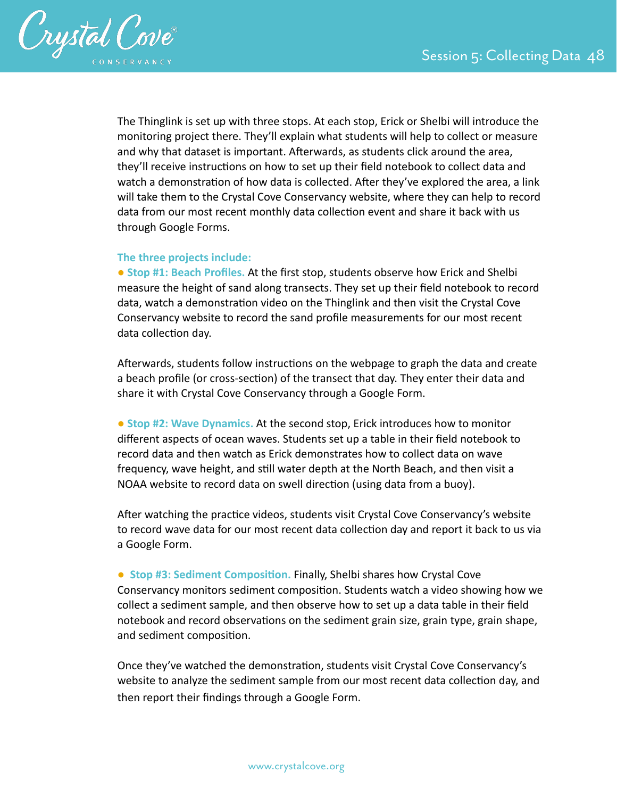

The Thinglink is set up with three stops. At each stop, Erick or Shelbi will introduce the monitoring project there. They'll explain what students will help to collect or measure and why that dataset is important. Afterwards, as students click around the area, they'll receive instructions on how to set up their field notebook to collect data and watch a demonstration of how data is collected. After they've explored the area, a link will take them to the Crystal Cove Conservancy website, where they can help to record data from our most recent monthly data collection event and share it back with us through Google Forms.

#### **The three projects include:**

● **Stop #1: Beach Profiles.** At the first stop, students observe how Erick and Shelbi measure the height of sand along transects. They set up their field notebook to record data, watch a demonstration video on the Thinglink and then visit the Crystal Cove Conservancy website to record the sand profile measurements for our most recent data collection day.

Afterwards, students follow instructions on the webpage to graph the data and create a beach profile (or cross-section) of the transect that day. They enter their data and share it with Crystal Cove Conservancy through a Google Form.

● **Stop #2: Wave Dynamics.** At the second stop, Erick introduces how to monitor different aspects of ocean waves. Students set up a table in their field notebook to record data and then watch as Erick demonstrates how to collect data on wave frequency, wave height, and still water depth at the North Beach, and then visit a NOAA website to record data on swell direction (using data from a buoy).

After watching the practice videos, students visit Crystal Cove Conservancy's website to record wave data for our most recent data collection day and report it back to us via a Google Form.

● Stop #3: Sediment Composition. Finally, Shelbi shares how Crystal Cove Conservancy monitors sediment composition. Students watch a video showing how we collect a sediment sample, and then observe how to set up a data table in their field notebook and record observations on the sediment grain size, grain type, grain shape, and sediment composition.

Once they've watched the demonstration, students visit Crystal Cove Conservancy's website to analyze the sediment sample from our most recent data collection day, and then report their findings through a Google Form.